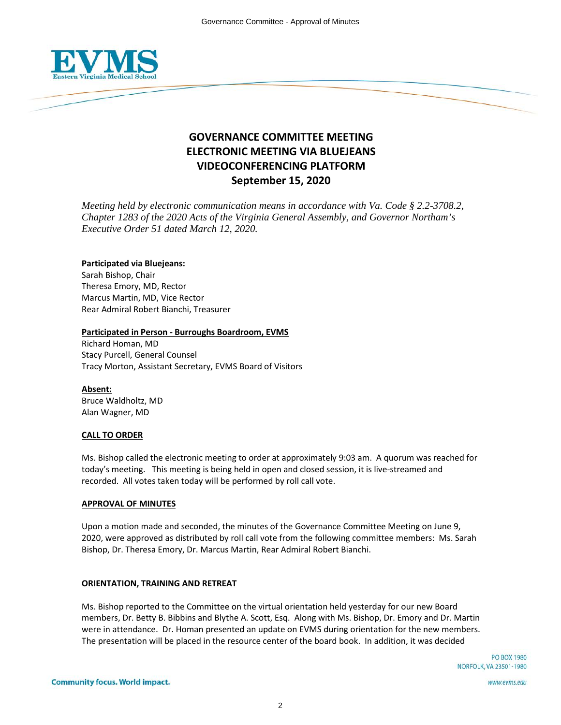

# **GOVERNANCE COMMITTEE MEETING ELECTRONIC MEETING VIA BLUEJEANS VIDEOCONFERENCING PLATFORM September 15, 2020**

*Meeting held by electronic communication means in accordance with Va. Code § 2.2-3708.2, Chapter 1283 of the 2020 Acts of the Virginia General Assembly, and Governor Northam's Executive Order 51 dated March 12, 2020.*

# **Participated via Bluejeans:**

Sarah Bishop, Chair Theresa Emory, MD, Rector Marcus Martin, MD, Vice Rector Rear Admiral Robert Bianchi, Treasurer

# **Participated in Person - Burroughs Boardroom, EVMS**

Richard Homan, MD Stacy Purcell, General Counsel Tracy Morton, Assistant Secretary, EVMS Board of Visitors

**Absent:** Bruce Waldholtz, MD Alan Wagner, MD

# **CALL TO ORDER**

Ms. Bishop called the electronic meeting to order at approximately 9:03 am. A quorum was reached for today's meeting. This meeting is being held in open and closed session, it is live-streamed and recorded. All votes taken today will be performed by roll call vote.

### **APPROVAL OF MINUTES**

Upon a motion made and seconded, the minutes of the Governance Committee Meeting on June 9, 2020, were approved as distributed by roll call vote from the following committee members: Ms. Sarah Bishop, Dr. Theresa Emory, Dr. Marcus Martin, Rear Admiral Robert Bianchi.

# **ORIENTATION, TRAINING AND RETREAT**

Ms. Bishop reported to the Committee on the virtual orientation held yesterday for our new Board members, Dr. Betty B. Bibbins and Blythe A. Scott, Esq. Along with Ms. Bishop, Dr. Emory and Dr. Martin were in attendance. Dr. Homan presented an update on EVMS during orientation for the new members. The presentation will be placed in the resource center of the board book. In addition, it was decided

www.evms.edu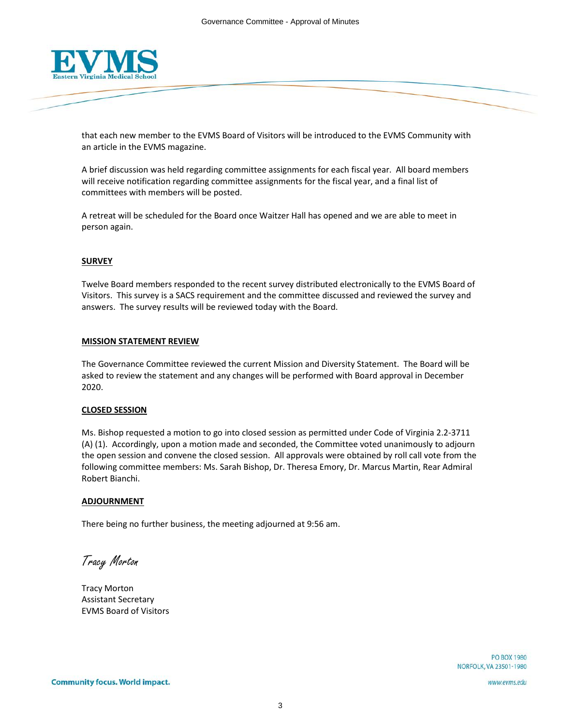

that each new member to the EVMS Board of Visitors will be introduced to the EVMS Community with an article in the EVMS magazine.

A brief discussion was held regarding committee assignments for each fiscal year. All board members will receive notification regarding committee assignments for the fiscal year, and a final list of committees with members will be posted.

A retreat will be scheduled for the Board once Waitzer Hall has opened and we are able to meet in person again.

### **SURVEY**

Twelve Board members responded to the recent survey distributed electronically to the EVMS Board of Visitors. This survey is a SACS requirement and the committee discussed and reviewed the survey and answers. The survey results will be reviewed today with the Board.

### **MISSION STATEMENT REVIEW**

The Governance Committee reviewed the current Mission and Diversity Statement. The Board will be asked to review the statement and any changes will be performed with Board approval in December 2020.

### **CLOSED SESSION**

Ms. Bishop requested a motion to go into closed session as permitted under Code of Virginia 2.2-3711 (A) (1). Accordingly, upon a motion made and seconded, the Committee voted unanimously to adjourn the open session and convene the closed session. All approvals were obtained by roll call vote from the following committee members: Ms. Sarah Bishop, Dr. Theresa Emory, Dr. Marcus Martin, Rear Admiral Robert Bianchi.

### **ADJOURNMENT**

There being no further business, the meeting adjourned at 9:56 am.

Tracy Morton

Tracy Morton Assistant Secretary EVMS Board of Visitors

**PO BOX 1980 NORFOLK, VA 23501-1980** 

www.evms.edu

3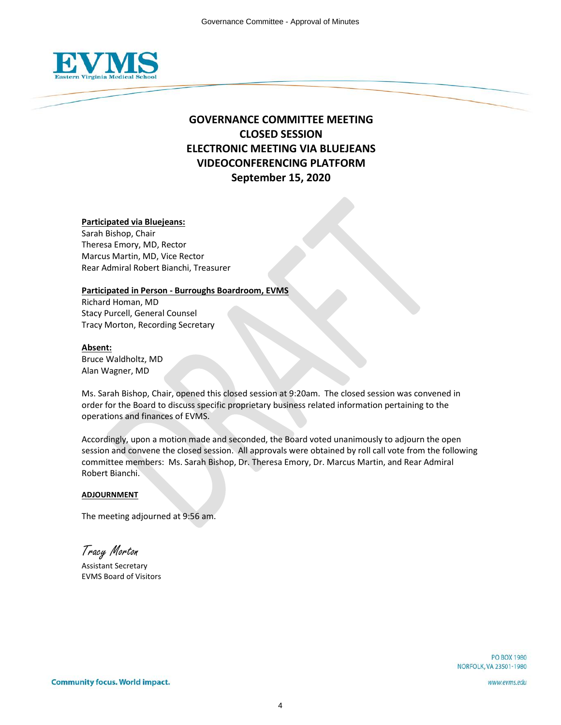

# **GOVERNANCE COMMITTEE MEETING CLOSED SESSION ELECTRONIC MEETING VIA BLUEJEANS VIDEOCONFERENCING PLATFORM September 15, 2020**

# **Participated via Bluejeans:**

Sarah Bishop, Chair Theresa Emory, MD, Rector Marcus Martin, MD, Vice Rector Rear Admiral Robert Bianchi, Treasurer

### **Participated in Person - Burroughs Boardroom, EVMS**

Richard Homan, MD Stacy Purcell, General Counsel Tracy Morton, Recording Secretary

### **Absent:**

Bruce Waldholtz, MD Alan Wagner, MD

Ms. Sarah Bishop, Chair, opened this closed session at 9:20am. The closed session was convened in order for the Board to discuss specific proprietary business related information pertaining to the operations and finances of EVMS.

Accordingly, upon a motion made and seconded, the Board voted unanimously to adjourn the open session and convene the closed session. All approvals were obtained by roll call vote from the following committee members: Ms. Sarah Bishop, Dr. Theresa Emory, Dr. Marcus Martin, and Rear Admiral Robert Bianchi.

# **ADJOURNMENT**

The meeting adjourned at 9:56 am.

Tracy Morton

Assistant Secretary EVMS Board of Visitors

www.evms.edu